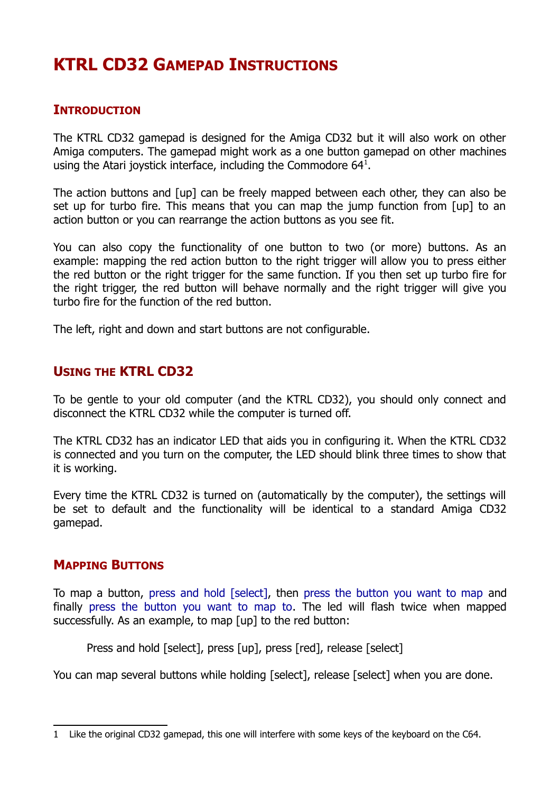# **KTRL CD32 GAMEPAD INSTRUCTIONS**

## **INTRODUCTION**

The KTRL CD32 gamepad is designed for the Amiga CD32 but it will also work on other Amiga computers. The gamepad might work as a one button gamepad on other machines using the Atari joystick interface, including the Commodore  $64<sup>1</sup>$  $64<sup>1</sup>$  $64<sup>1</sup>$ .

The action buttons and [up] can be freely mapped between each other, they can also be set up for turbo fire. This means that you can map the jump function from [up] to an action button or you can rearrange the action buttons as you see fit.

You can also copy the functionality of one button to two (or more) buttons. As an example: mapping the red action button to the right trigger will allow you to press either the red button or the right trigger for the same function. If you then set up turbo fire for the right trigger, the red button will behave normally and the right trigger will give you turbo fire for the function of the red button.

The left, right and down and start buttons are not configurable.

## **USING THE KTRL CD32**

To be gentle to your old computer (and the KTRL CD32), you should only connect and disconnect the KTRL CD32 while the computer is turned off.

The KTRL CD32 has an indicator LED that aids you in configuring it. When the KTRL CD32 is connected and you turn on the computer, the LED should blink three times to show that it is working.

Every time the KTRL CD32 is turned on (automatically by the computer), the settings will be set to default and the functionality will be identical to a standard Amiga CD32 gamepad.

### **MAPPING BUTTONS**

To map a button, press and hold [select], then press the button you want to map and finally press the button you want to map to. The led will flash twice when mapped successfully. As an example, to map [up] to the red button:

Press and hold [select], press [up], press [red], release [select]

You can map several buttons while holding [select], release [select] when you are done.

<span id="page-0-0"></span><sup>1</sup> Like the original CD32 gamepad, this one will interfere with some keys of the keyboard on the C64.